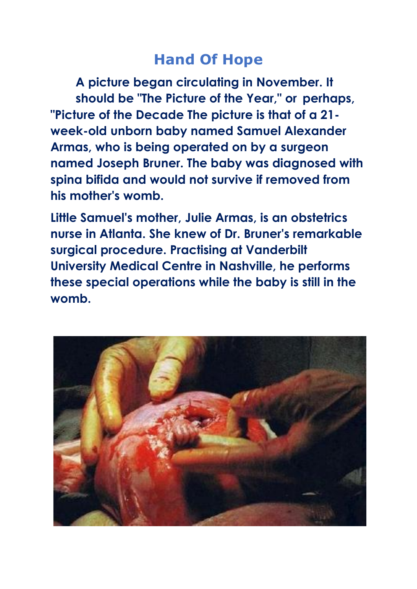## **Hand Of Hope**

**A picture began circulating in November. It should be "The Picture of the Year," or perhaps, "Picture of the Decade The picture is that of a 21 week-old unborn baby named Samuel Alexander Armas, who is being operated on by a surgeon named Joseph Bruner. The baby was diagnosed with spina bifida and would not survive if removed from his mother's womb.** 

**Little Samuel's mother, Julie Armas, is an obstetrics nurse in Atlanta. She knew of Dr. Bruner's remarkable surgical procedure. Practising at Vanderbilt University Medical Centre in Nashville, he performs these special operations while the baby is still in the womb.**

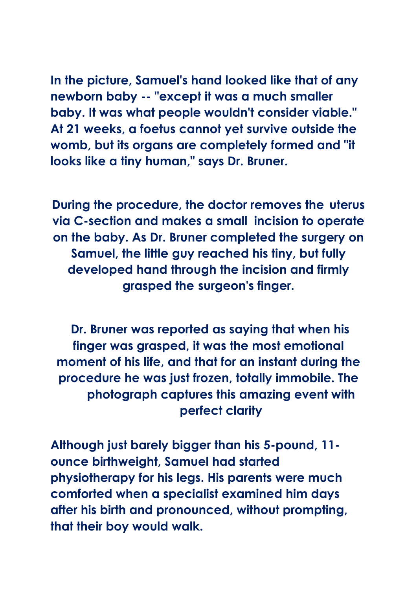**In the picture, Samuel's hand looked like that of any newborn baby -- "except it was a much smaller baby. It was what people wouldn't consider viable." At 21 weeks, a foetus cannot yet survive outside the womb, but its organs are completely formed and "it looks like a tiny human," says Dr. Bruner.**

**During the procedure, the doctor removes the uterus via C-section and makes a small incision to operate on the baby. As Dr. Bruner completed the surgery on Samuel, the little guy reached his tiny, but fully developed hand through the incision and firmly grasped the surgeon's finger.**

**Dr. Bruner was reported as saying that when his finger was grasped, it was the most emotional moment of his life, and that for an instant during the procedure he was just frozen, totally immobile. The photograph captures this amazing event with perfect clarity**

**Although just barely bigger than his 5-pound, 11 ounce birthweight, Samuel had started physiotherapy for his legs. His parents were much comforted when a specialist examined him days after his birth and pronounced, without prompting, that their boy would walk.**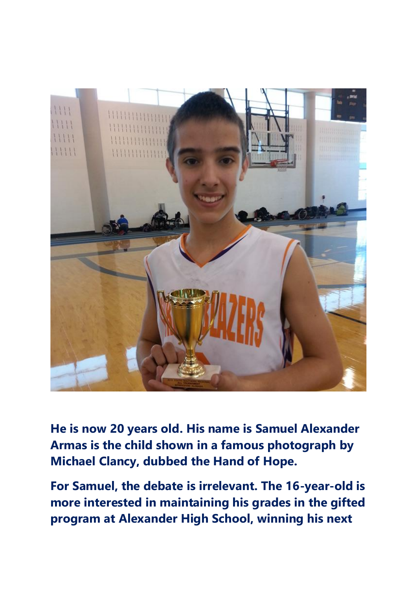

**He is now 20 years old. His name is Samuel Alexander Armas is the child shown in a famous photograph by Michael Clancy, dubbed the Hand of Hope.**

**For Samuel, the debate is irrelevant. The 16-year-old is more interested in maintaining his grades in the gifted program at Alexander High School, winning his next**